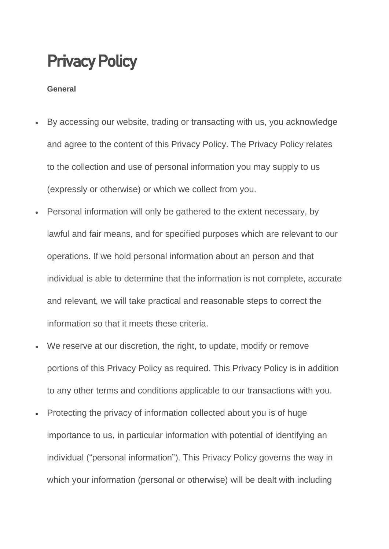### Privacy Policy

#### **General**

- By accessing our website, trading or transacting with us, you acknowledge and agree to the content of this Privacy Policy. The Privacy Policy relates to the collection and use of personal information you may supply to us (expressly or otherwise) or which we collect from you.
- Personal information will only be gathered to the extent necessary, by lawful and fair means, and for specified purposes which are relevant to our operations. If we hold personal information about an person and that individual is able to determine that the information is not complete, accurate and relevant, we will take practical and reasonable steps to correct the information so that it meets these criteria.
- We reserve at our discretion, the right, to update, modify or remove portions of this Privacy Policy as required. This Privacy Policy is in addition to any other terms and conditions applicable to our transactions with you.
- Protecting the privacy of information collected about you is of huge importance to us, in particular information with potential of identifying an individual ("personal information"). This Privacy Policy governs the way in which your information (personal or otherwise) will be dealt with including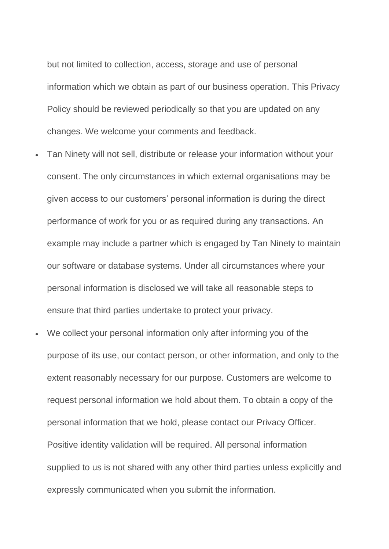but not limited to collection, access, storage and use of personal information which we obtain as part of our business operation. This Privacy Policy should be reviewed periodically so that you are updated on any changes. We welcome your comments and feedback.

- Tan Ninety will not sell, distribute or release your information without your consent. The only circumstances in which external organisations may be given access to our customers' personal information is during the direct performance of work for you or as required during any transactions. An example may include a partner which is engaged by Tan Ninety to maintain our software or database systems. Under all circumstances where your personal information is disclosed we will take all reasonable steps to ensure that third parties undertake to protect your privacy.
- We collect your personal information only after informing you of the purpose of its use, our contact person, or other information, and only to the extent reasonably necessary for our purpose. Customers are welcome to request personal information we hold about them. To obtain a copy of the personal information that we hold, please contact our Privacy Officer. Positive identity validation will be required. All personal information supplied to us is not shared with any other third parties unless explicitly and expressly communicated when you submit the information.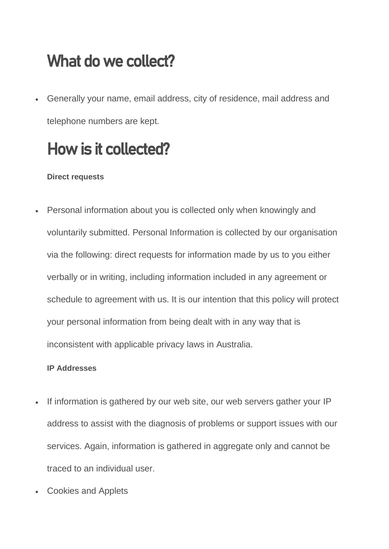### What do we collect?

• Generally your name, email address, city of residence, mail address and telephone numbers are kept.

## How is it collected?

#### **Direct requests**

• Personal information about you is collected only when knowingly and voluntarily submitted. Personal Information is collected by our organisation via the following: direct requests for information made by us to you either verbally or in writing, including information included in any agreement or schedule to agreement with us. It is our intention that this policy will protect your personal information from being dealt with in any way that is inconsistent with applicable privacy laws in Australia.

#### **IP Addresses**

- If information is gathered by our web site, our web servers gather your IP address to assist with the diagnosis of problems or support issues with our services. Again, information is gathered in aggregate only and cannot be traced to an individual user.
- Cookies and Applets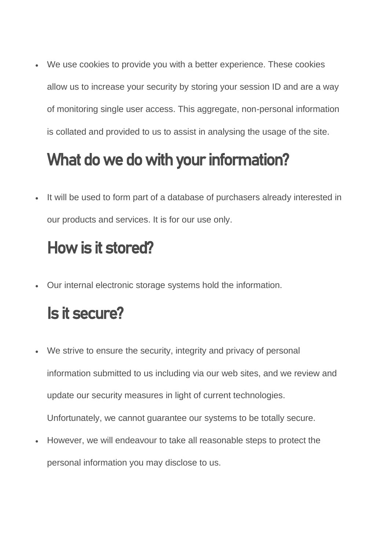We use cookies to provide you with a better experience. These cookies allow us to increase your security by storing your session ID and are a way of monitoring single user access. This aggregate, non-personal information is collated and provided to us to assist in analysing the usage of the site.

### What do we do with your information?

• It will be used to form part of a database of purchasers already interested in our products and services. It is for our use only.

## How is it stored?

• Our internal electronic storage systems hold the information.

#### Is it secure?

- We strive to ensure the security, integrity and privacy of personal information submitted to us including via our web sites, and we review and update our security measures in light of current technologies. Unfortunately, we cannot guarantee our systems to be totally secure.
- However, we will endeavour to take all reasonable steps to protect the personal information you may disclose to us.